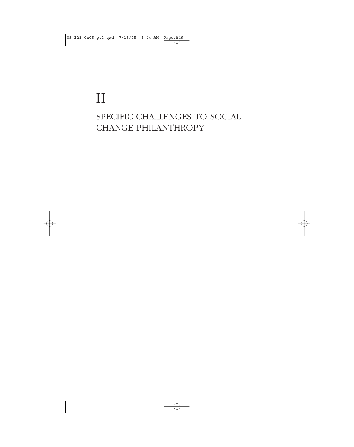# II

## SPECIFIC CHALLENGES TO SOCIAL CHANGE PHILANTHROPY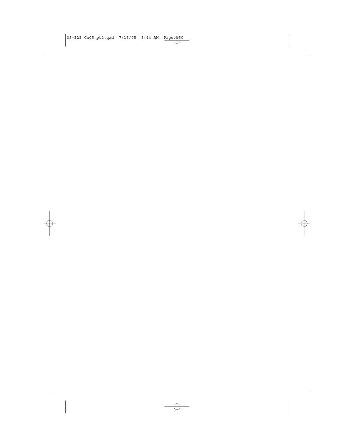$\begin{pmatrix} 05-323 & Ch05 & pt2-qxd & 7/15/05 & 8:44 & AM & Page & 60 \\ 0 & 0 & 0 & 0 & 0 & 0 \\ 0 & 0 & 0 & 0 & 0 & 0 \\ 0 & 0 & 0 & 0 & 0 & 0 \\ 0 & 0 & 0 & 0 & 0 & 0 \\ 0 & 0 & 0 & 0 & 0 & 0 \\ 0 & 0 & 0 & 0 &$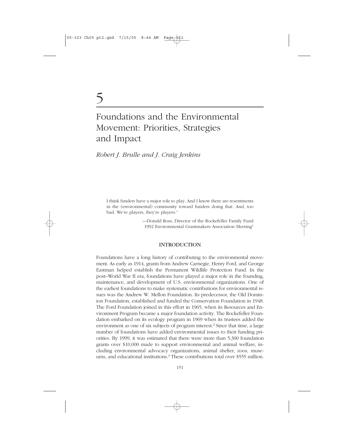# 5

### Foundations and the Environmental Movement: Priorities, Strategies and Impact

*Robert J. Brulle and J. Craig Jenkins*

I think funders have a major role to play. And I know there are resentments in the (environmental) community toward funders doing that. And, too bad. We're players, they're players."

> —Donald Ross, Director of the Rockefeller Family Fund 1992 Environmental Grantmakers Association Meeting1

#### INTRODUCTION

Foundations have a long history of contributing to the environmental movement. As early as 1914, grants from Andrew Carnegie, Henry Ford, and George Eastman helped establish the Permanent Wildlife Protection Fund. In the post–World War II era, foundations have played a major role in the founding, maintenance, and development of U.S. environmental organizations. One of the earliest foundations to make systematic contributions for environmental issues was the Andrew W. Mellon Foundation. Its predecessor, the Old Dominion Foundation, established and funded the Conservation Foundation in 1948. The Ford Foundation joined in this effort in 1965, when its Resources and Environment Program became a major foundation activity. The Rockefeller Foundation embarked on its ecology program in 1969 when its trustees added the environment as one of six subjects of program interest.<sup>2</sup> Since that time, a large number of foundations have added environmental issues to their funding priorities. By 1999, it was estimated that there were more than 5,300 foundation grants over \$10,000 made to support environmental and animal welfare, including environmental advocacy organizations, animal shelter, zoos, museums, and educational institutions.<sup>3</sup> These contributions total over \$555 million.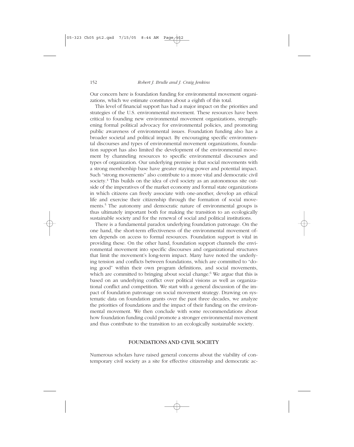Our concern here is foundation funding for environmental movement organizations, which we estimate constitutes about a eighth of this total.

This level of financial support has had a major impact on the priorities and strategies of the U.S. environmental movement. These resources have been critical to founding new environmental movement organizations, strengthening formal political advocacy for environmental policies, and promoting public awareness of environmental issues. Foundation funding also has a broader societal and political impact. By encouraging specific environmental discourses and types of environmental movement organizations, foundation support has also limited the development of the environmental movement by channeling resources to specific environmental discourses and types of organization. Our underlying premise is that social movements with a strong membership base have greater staying power and potential impact. Such "strong movements" also contribute to a more vital and democratic civil society.<sup>4</sup> This builds on the idea of civil society as an autonomous site outside of the imperatives of the market economy and formal state organizations in which citizens can freely associate with one-another, develop an ethical life and exercise their citizenship through the formation of social movements.<sup>5</sup> The autonomy and democratic nature of environmental groups is thus ultimately important both for making the transition to an ecologically sustainable society and for the renewal of social and political institutions.

There is a fundamental paradox underlying foundation patronage. On the one hand, the short-term effectiveness of the environmental movement often depends on access to formal resources. Foundation support is vital in providing these. On the other hand, foundation support channels the environmental movement into specific discourses and organizational structures that limit the movement's long-term impact. Many have noted the underlying tension and conflicts between foundations, which are committed to "doing good" within their own program definitions, and social movements, which are committed to bringing about social change.<sup>6</sup> We argue that this is based on an underlying conflict over political visions as well as organizational conflict and competition. We start with a general discussion of the impact of foundation patronage on social movement strategy. Drawing on systematic data on foundation grants over the past three decades, we analyze the priorities of foundations and the impact of their funding on the environmental movement. We then conclude with some recommendations about how foundation funding could promote a stronger environmental movement and thus contribute to the transition to an ecologically sustainable society.

#### FOUNDATIONS AND CIVIL SOCIETY

Numerous scholars have raised general concerns about the viability of contemporary civil society as a site for effective citizenship and democratic ac-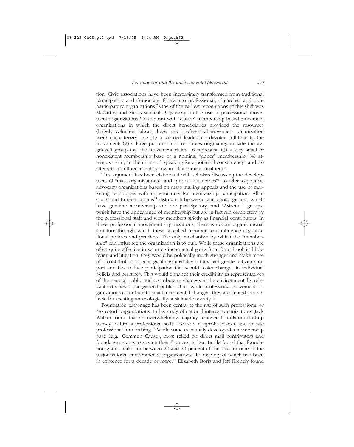05-323 Ch05 pt2.qxd 7/15/05 8:44 AM

tion. Civic associations have been increasingly transformed from traditional participatory and democratic forms into professional, oligarchic, and nonparticipatory organizations.7 One of the earliest recognitions of this shift was McCarthy and Zald's seminal 1973 essay on the rise of professional movement organizations.8 In contrast with "classic" membership-based movement organizations in which the direct beneficiaries provided the resources (largely volunteer labor), these new professional movement organization were characterized by: (1) a salaried leadership devoted full-time to the movement; (2) a large proportion of resources originating outside the aggrieved group that the movement claims to represent; (3) a very small or nonexistent membership base or a nominal "paper" membership; (4) attempts to impart the image of 'speaking for a potential constituency'; and (5) attempts to influence policy toward that same constituency.

This argument has been elaborated with scholars discussing the development of "mass organizations"9 and "protest businesses"10 to refer to political advocacy organizations based on mass mailing appeals and the use of marketing techniques with no structures for membership participation. Allan Cigler and Burdett Loomis<sup>11</sup> distinguish between "grassroots" groups, which have genuine membership and are participatory, and "Astroturf" groups, which have the appearance of membership but are in fact run completely by the professional staff and view members strictly as financial contributors. In these professional movement organizations, there is not an organizational structure through which these so-called members can influence organizational policies and practices. The only mechanism by which the "membership" can influence the organization is to quit. While these organizations are often quite effective in securing incremental gains from formal political lobbying and litigation, they would be politically much stronger and make more of a contribution to ecological sustainability if they had greater citizen support and face-to-face participation that would foster changes in individual beliefs and practices. This would enhance their credibility as representatives of the general public and contribute to changes in the environmentally relevant activities of the general public. Thus, while professional movement organizations contribute to small incremental changes, they are limited as a vehicle for creating an ecologically sustainable society.<sup>12</sup>

Foundation patronage has been central to the rise of such professional or "Astroturf" organizations. In his study of national interest organizations, Jack Walker found that an overwhelming majority received foundation start-up money to hire a professional staff, secure a nonprofit charter, and initiate professional fund-raising.13 While some eventually developed a membership base (e.g., Common Cause), most relied on direct mail contributors and foundation grants to sustain their finances. Robert Brulle found that foundation grants make up between 22 and 29 percent of the total income of the major national environmental organizations, the majority of which had been in existence for a decade or more.<sup>14</sup> Elizabeth Boris and Jeff Krehely found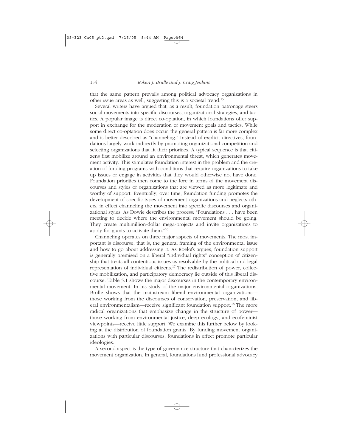that the same pattern prevails among political advocacy organizations in other issue areas as well, suggesting this is a societal trend.15

Several writers have argued that, as a result, foundation patronage steers social movements into specific discourses, organizational strategies, and tactics. A popular image is direct co-optation, in which foundations offer support in exchange for the moderation of movement goals and tactics. While some direct co-optation does occur, the general pattern is far more complex and is better described as "channeling." Instead of explicit directives, foundations largely work indirectly by promoting organizational competition and selecting organizations that fit their priorities. A typical sequence is that citizens first mobilize around an environmental threat, which generates movement activity. This stimulates foundation interest in the problem and the creation of funding programs with conditions that require organizations to take up issues or engage in activities that they would otherwise not have done. Foundation priorities then come to the fore in terms of the movement discourses and styles of organizations that are viewed as more legitimate and worthy of support. Eventually, over time, foundation funding promotes the development of specific types of movement organizations and neglects others, in effect channeling the movement into specific discourses and organizational styles. As Dowie describes the process: "Foundations . . . have been meeting to decide where the environmental movement should be going. They create multimillion-dollar mega-projects and invite organizations to apply for grants to activate them."16

Channeling operates on three major aspects of movements. The most important is discourse, that is, the general framing of the environmental issue and how to go about addressing it. As Roelofs argues, foundation support is generally premised on a liberal "individual rights" conception of citizenship that treats all contentious issues as resolvable by the political and legal representation of individual citizens.17 The redistribution of power, collective mobilization, and participatory democracy lie outside of this liberal discourse. Table 5.1 shows the major discourses in the contemporary environmental movement. In his study of the major environmental organizations, Brulle shows that the mainstream liberal environmental organizations those working from the discourses of conservation, preservation, and liberal environmentalism—receive significant foundation support.18 The more radical organizations that emphasize change in the structure of power those working from environmental justice, deep ecology, and ecofeminist viewpoints—receive little support. We examine this further below by looking at the distribution of foundation grants. By funding movement organizations with particular discourses, foundations in effect promote particular ideologies.

A second aspect is the type of governance structure that characterizes the movement organization. In general, foundations fund professional advocacy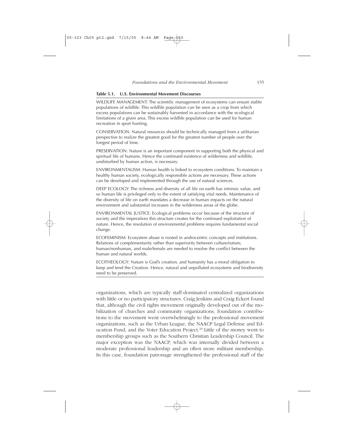#### **Table 5.1. U.S. Environmental Movement Discourses**

WILDLIFE MANAGEMENT: The scientific management of ecosystems can ensure stable populations of wildlife. This wildlife population can be seen as a crop from which excess populations can be sustainably harvested in accordance with the ecological limitations of a given area. This excess wildlife population can be used for human recreation in sport hunting.

CONSERVATION: Natural resources should be technically managed from a utilitarian perspective to realize the greatest good for the greatest number of people over the longest period of time.

PRESERVATION: Nature is an important component in supporting both the physical and spiritual life of humans. Hence the continued existence of wilderness and wildlife, undisturbed by human action, is necessary.

ENVIRONMENTALISM: Human health is linked to ecosystem conditions. To maintain a healthy human society, ecologically responsible actions are necessary. These actions can be developed and implemented through the use of natural sciences.

DEEP ECOLOGY: The richness and diversity of all life on earth has intrinsic value, and so human life is privileged only to the extent of satisfying vital needs. Maintenance of the diversity of life on earth mandates a decrease in human impacts on the natural environment and substantial increases in the wilderness areas of the globe.

ENVIRONMENTAL JUSTICE: Ecological problems occur because of the structure of society and the imperatives this structure creates for the continued exploitation of nature. Hence, the resolution of environmental problems requires fundamental social change.

ECOFEMINISM: Ecosystem abuse is rooted in androcentric concepts and institutions. Relations of complementarity rather than superiority between culture/nature, human/nonhuman, and male/female are needed to resolve the conflict between the human and natural worlds.

ECOTHEOLOGY: Nature is God's creation, and humanity has a moral obligation to keep and tend the Creation. Hence, natural and unpolluted ecosystems and biodiversity need to be preserved.

organizations, which are typically staff-dominated centralized organizations with little or no participatory structures. Craig Jenkins and Craig Eckert found that, although the civil rights movement originally developed out of the mobilization of churches and community organizations, foundation contributions to the movement went overwhelmingly to the professional movement organizations, such as the Urban League, the NAACP Legal Defense and Education Fund, and the Voter Education Project.19 Little of the money went to membership groups such as the Southern Christian Leadership Council. The major exception was the NAACP, which was internally divided between a moderate professional leadership and an often more militant membership. In this case, foundation patronage strengthened the professional staff of the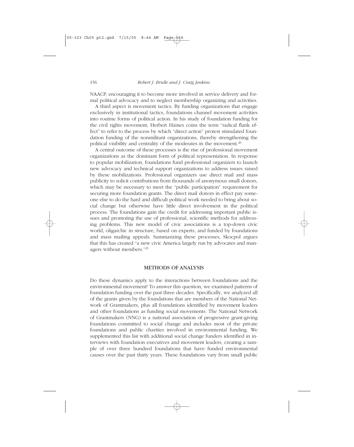NAACP, encouraging it to become more involved in service delivery and formal political advocacy and to neglect membership organizing and activities.

A third aspect is movement tactics. By funding organizations that engage exclusively in institutional tactics, foundations channel movement activities into routine forms of political action. In his study of foundation funding for the civil rights movement, Herbert Haines coins the term "radical flank effect" to refer to the process by which "direct action" protest stimulated foundation funding of the nonmilitant organizations, thereby strengthening the political visibility and centrality of the moderates in the movement.20

A central outcome of these processes is the rise of professional movement organizations as the dominant form of political representation. In response to popular mobilization, foundations fund professional organizers to launch new advocacy and technical support organizations to address issues raised by these mobilizations. Professional organizers use direct mail and mass publicity to solicit contributions from thousands of anonymous small donors, which may be necessary to meet the "public participation" requirement for securing more foundation grants. The direct mail donors in effect pay someone else to do the hard and difficult political work needed to bring about social change but otherwise have little direct involvement in the political process. The foundations gain the credit for addressing important public issues and promoting the use of professional, scientific methods for addressing problems. This new model of civic associations is a top-down civic world, oligarchic in structure, based on experts, and funded by foundations and mass mailing appeals. Summarizing these processes, Skocpol argues that this has created "a new civic America largely run by advocates and managers without members."21

#### METHODS OF ANALYSIS

Do these dynamics apply to the interactions between foundations and the environmental movement? To answer this question, we examined patterns of foundation funding over the past three decades. Specifically, we analyzed all of the grants given by the foundations that are members of the National Network of Grantmakers, plus all foundations identified by movement leaders and other foundations as funding social movements. The National Network of Grantmakers (NNG) is a national association of progressive grant-giving foundations committed to social change and includes most of the private foundations and public charities involved in environmental funding. We supplemented this list with additional social change funders identified in interviews with foundation executives and movement leaders, creating a sample of over three hundred foundations that have funded environmental causes over the past thirty years. These foundations vary from small public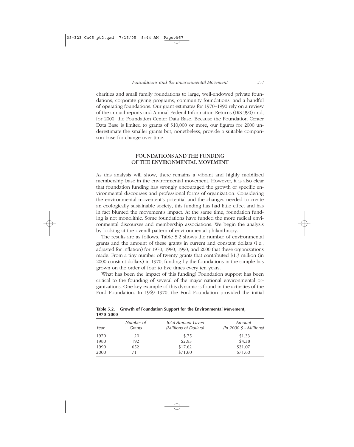charities and small family foundations to large, well-endowed private foundations, corporate giving programs, community foundations, and a handful of operating foundations. Our grant estimates for 1970–1990 rely on a review of the annual reports and Annual Federal Information Returns (IRS 990) and, for 2000, the Foundation Center Data Base. Because the Foundation Center Data Base is limited to grants of \$10,000 or more, our figures for 2000 underestimate the smaller grants but, nonetheless, provide a suitable comparison base for change over time.

#### FOUNDATIONS AND THE FUNDING OF THE ENVIRONMENTAL MOVEMENT

As this analysis will show, there remains a vibrant and highly mobilized membership base in the environmental movement. However, it is also clear that foundation funding has strongly encouraged the growth of specific environmental discourses and professional forms of organization. Considering the environmental movement's potential and the changes needed to create an ecologically sustainable society, this funding has had little effect and has in fact blunted the movement's impact. At the same time, foundation funding is not monolithic. Some foundations have funded the more radical environmental discourses and membership associations. We begin the analysis by looking at the overall pattern of environmental philanthropy.

The results are as follows. Table 5.2 shows the number of environmental grants and the amount of these grants in current and constant dollars (i.e., adjusted for inflation) for 1970, 1980, 1990, and 2000 that these organizations made. From a tiny number of twenty grants that contributed \$1.3 million (in 2000 constant dollars) in 1970, funding by the foundations in the sample has grown on the order of four to five times every ten years.

What has been the impact of this funding? Foundation support has been critical to the founding of several of the major national environmental organizations. One key example of this dynamic is found in the activities of the Ford Foundation. In 1969–1970, the Ford Foundation provided the initial

|           | Table 5.2. Growth of Foundation Support for the Environmental Movement, |
|-----------|-------------------------------------------------------------------------|
| 1970-2000 |                                                                         |

| Year | Number of<br><i>Grants</i> | Total Amount Given<br>(Millions of Dollars) | Amount<br>$(In 2000 $ - Millions)$ |
|------|----------------------------|---------------------------------------------|------------------------------------|
| 1970 | 20                         | \$.75                                       | \$1.33                             |
| 1980 | 192                        | \$2.93                                      | \$4.38                             |
| 1990 | 652                        | \$17.62                                     | \$21.07                            |
| 2000 | 711                        | \$71.60                                     | \$71.60                            |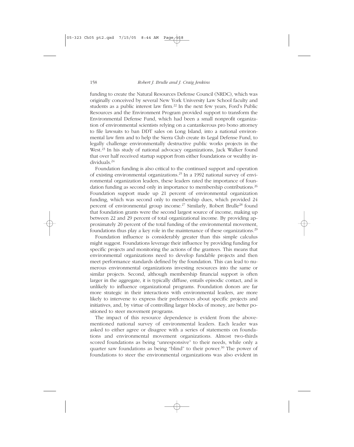funding to create the Natural Resources Defense Council (NRDC), which was originally conceived by several New York University Law School faculty and students as a public interest law firm.22 In the next few years, Ford's Public Resources and the Environment Program provided support to transform the Environmental Defense Fund, which had been a small nonprofit organization of environmental scientists relying on a cantankerous pro bono attorney to file lawsuits to ban DDT sales on Long Island, into a national environmental law firm and to help the Sierra Club create its Legal Defense Fund, to legally challenge environmentally destructive public works projects in the West.<sup>23</sup> In his study of national advocacy organizations, Jack Walker found that over half received startup support from either foundations or wealthy individuals.24

Foundation funding is also critical to the continued support and operation of existing environmental organizations.25 In a 1992 national survey of environmental organization leaders, these leaders rated the importance of foundation funding as second only in importance to membership contributions.<sup>26</sup> Foundation support made up 21 percent of environmental organization funding, which was second only to membership dues, which provided 24 percent of environmental group income.<sup>27</sup> Similarly, Robert Brulle<sup>28</sup> found that foundation grants were the second largest source of income, making up between 22 and 29 percent of total organizational income. By providing approximately 20 percent of the total funding of the environmental movement, foundations thus play a key role in the maintenance of these organizations.<sup>29</sup>

Foundation influence is considerably greater than this simple calculus might suggest. Foundations leverage their influence by providing funding for specific projects and monitoring the actions of the grantees. This means that environmental organizations need to develop fundable projects and then meet performance standards defined by the foundation. This can lead to numerous environmental organizations investing resources into the same or similar projects. Second, although membership financial support is often larger in the aggregate, it is typically diffuse, entails episodic contact, and is unlikely to influence organizational programs. Foundation donors are far more strategic in their interactions with environmental leaders, are more likely to intervene to express their preferences about specific projects and initiatives, and, by virtue of controlling larger blocks of money, are better positioned to steer movement programs.

The impact of this resource dependence is evident from the abovementioned national survey of environmental leaders. Each leader was asked to either agree or disagree with a series of statements on foundations and environmental movement organizations. Almost two-thirds scored foundations as being "unresponsive" to their needs, while only a quarter saw foundations as being "blind" to their power.<sup>30</sup> The power of foundations to steer the environmental organizations was also evident in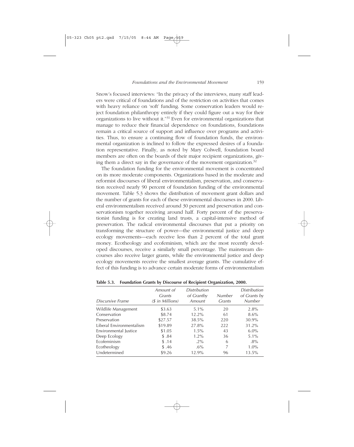Snow's focused interviews: "In the privacy of the interviews, many staff leaders were critical of foundations and of the restriction on activities that comes with heavy reliance on 'soft' funding. Some conservation leaders would reject foundation philanthropy entirely if they could figure out a way for their organizations to live without it."31 Even for environmental organizations that manage to reduce their financial dependence on foundations, foundations remain a critical source of support and influence over programs and activities. Thus, to ensure a continuing flow of foundation funds, the environmental organization is inclined to follow the expressed desires of a foundation representative. Finally, as noted by Mary Colwell, foundation board members are often on the boards of their major recipient organizations, giving them a direct say in the governance of the movement organization.32

The foundation funding for the environmental movement is concentrated on its more moderate components. Organizations based in the moderate and reformist discourses of liberal environmentalism, preservation, and conservation received nearly 90 percent of foundation funding of the environmental movement. Table 5.3 shows the distribution of movement grant dollars and the number of grants for each of these environmental discourses in 2000. Liberal environmentalism received around 30 percent and preservation and conservationism together receiving around half. Forty percent of the preservationist funding is for creating land trusts, a capital-intensive method of preservation. The radical environmental discourses that put a priority on transforming the structure of power—the environmental justice and deep ecology movements—each receive less than 2 percent of the total grant money. Ecotheology and ecofeminism, which are the most recently developed discourses, receive a similarly small percentage. The mainstream discourses also receive larger grants, while the environmental justice and deep ecology movements receive the smallest average grants. The cumulative effect of this funding is to advance certain moderate forms of environmentalism

| Discursive Frame         | Amount of<br><b>Grants</b><br>$(S$ in Millions) | <b>Distribution</b><br>of Grantby<br>Amount | <b>Number</b><br>Grants | <b>Distribution</b><br>of Grants by<br>Number |
|--------------------------|-------------------------------------------------|---------------------------------------------|-------------------------|-----------------------------------------------|
| Wildlife Management      | \$3.63                                          | $5.1\%$                                     | 20                      | $2.8\%$                                       |
| Conservation             | \$8.74                                          | $12.2\%$                                    | 61                      | $8.6\%$                                       |
| Preservation             | \$27.57                                         | 38.5%                                       | 220                     | 30.9%                                         |
| Liberal Environmentalism | \$19.89                                         | 27.8%                                       | 222                     | 31.2%                                         |
| Environmental Justice    | \$1.05                                          | $1.5\%$                                     | 43                      | $6.0\%$                                       |
| Deep Ecology             | \$.84                                           | $1.2\%$                                     | 36                      | $5.1\%$                                       |
| Ecofeminism              | \$.14                                           | $.2\%$                                      | 6                       | $.8\%$                                        |
| Ecotheology              | \$.46                                           | $.6\%$                                      | 7                       | $1.0\%$                                       |
| Undetermined             | \$9.26                                          | 12.9%                                       | 96                      | 13.5%                                         |

**Table 5.3. Foundation Grants by Discourse of Recipient Organization, 2000.**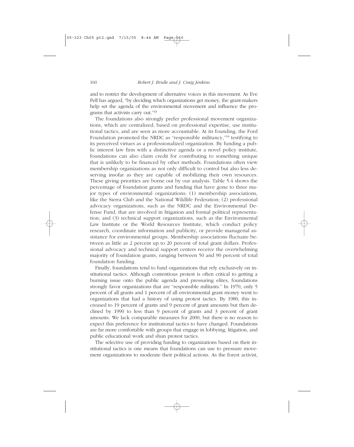and to restrict the development of alternative voices in this movement. As Eve Pell has argued, "by deciding which organizations get money, the grant-makers help set the agenda of the environmental movement and influence the programs that activists carry out."33

The foundations also strongly prefer professional movement organizations, which are centralized, based on professional expertise, use institutional tactics, and are seen as more accountable. At its founding, the Ford Foundation promoted the NRDC as "responsible militancy,"<sup>34</sup> testifying to its perceived virtues as a professionalized organization. By funding a public interest law firm with a distinctive agenda or a novel policy institute, foundations can also claim credit for contributing to something unique that is unlikely to be financed by other methods. Foundations often view membership organizations as not only difficult to control but also less deserving insofar as they are capable of mobilizing their own resources. These giving priorities are borne out by our analysis. Table 5.4 shows the percentage of foundation grants and funding that have gone to three major types of environmental organizations: (1) membership associations, like the Sierra Club and the National Wildlife Federation; (2) professional advocacy organizations, such as the NRDC and the Environmental Defense Fund, that are involved in litigation and formal political representation; and (3) technical support organizations, such as the Environmental Law Institute or the World Resources Institute, which conduct policy research, coordinate information and publicity, or provide managerial assistance for environmental groups. Membership associations fluctuate between as little as 2 percent up to 20 percent of total grant dollars. Professional advocacy and technical support centers receive the overwhelming majority of foundation grants, ranging between 50 and 90 percent of total foundation funding.

Finally, foundations tend to fund organizations that rely exclusively on institutional tactics. Although contentious protest is often critical to getting a burning issue onto the public agenda and pressuring elites, foundations strongly favor organizations that are "responsible militants." In 1970, only 5 percent of all grants and 1 percent of all environmental grant money went to organizations that had a history of using protest tactics. By 1980, this increased to 19 percent of grants and 9 percent of grant amounts but then declined by 1990 to less than 9 percent of grants and 3 percent of grant amounts. We lack comparable measures for 2000, but there is no reason to expect this preference for institutional tactics to have changed. Foundations are far more comfortable with groups that engage in lobbying, litigation, and public educational work and shun protest tactics.

The selective use of providing funding to organizations based on their institutional tactics is one means that foundations can use to pressure movement organizations to moderate their political actions. As the forest activist,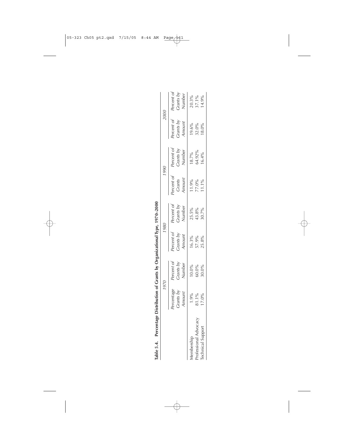| $\begin{array}{c}\n\bullet & \bullet & \bullet & \bullet\n\end{array}$ |  |
|------------------------------------------------------------------------|--|
| l                                                                      |  |
|                                                                        |  |
| i                                                                      |  |
| ֖֖֪ׅ֖֚֚֚֚֚֚֚֚֚֚֚֚֚֚֚֚֚֚֚֚֚֡֝֝֝֝֝֝֝֝֝֝֝֝֝                               |  |
| I                                                                      |  |

|                          |                                   |                                                           | $\overline{\phantom{a}}$          |                                   |                               |                                   |                                   |                                   |
|--------------------------|-----------------------------------|-----------------------------------------------------------|-----------------------------------|-----------------------------------|-------------------------------|-----------------------------------|-----------------------------------|-----------------------------------|
|                          |                                   | 1970                                                      |                                   | 1980                              |                               | 1990                              | 2000                              |                                   |
|                          | Percentage<br>Grants by<br>Amount | Percent of<br>Crants by<br>Number                         | Percent of<br>Grants by<br>Amount | Percent of<br>Grants by<br>Number | ercent of<br>Grants<br>Amount | Percent of<br>Grants by<br>Number | Percent of<br>Grants by<br>Amount | Percent of<br>Grants by<br>Number |
|                          |                                   |                                                           |                                   |                                   |                               |                                   |                                   |                                   |
| <b>Aembership</b>        | 1.9%                              |                                                           |                                   |                                   |                               |                                   |                                   |                                   |
| €<br>Professional Advoca | 81.1%<br>I7.0%                    | $\begin{array}{l} 10.0\% \\ 60.0\% \\ 30.0\% \end{array}$ | 16.3%<br>57.9%<br>25.8%           | 25.5%<br>43.8%<br>30.7%           | $\frac{11.9\%}{77.0\%}$       | $18.7\%$<br>64.92%<br>16.4%       | 19.6%<br>32.0%<br>18.0%           | 20.3%<br>37.1%<br>14.9%           |
| <b>Technical Support</b> |                                   |                                                           |                                   |                                   |                               |                                   |                                   |                                   |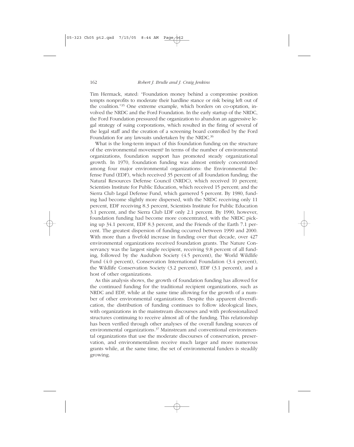Tim Hermack, stated: "Foundation money behind a compromise position tempts nonprofits to moderate their hardline stance or risk being left out of the coalition."35 One extreme example, which borders on co-optation, involved the NRDC and the Ford Foundation. In the early startup of the NRDC, the Ford Foundation pressured the organization to abandon an aggressive legal strategy of suing corporations, which resulted in the firing of several of the legal staff and the creation of a screening board controlled by the Ford Foundation for any lawsuits undertaken by the NRDC.<sup>36</sup>

What is the long-term impact of this foundation funding on the structure of the environmental movement? In terms of the number of environmental organizations, foundation support has promoted steady organizational growth. In 1970, foundation funding was almost entirely concentrated among four major environmental organizations: the Environmental Defense Fund (EDF), which received 35 percent of all foundation funding; the Natural Resources Defense Council (NRDC), which received 10 percent; Scientists Institute for Public Education, which received 15 percent; and the Sierra Club Legal Defense Fund, which garnered 5 percent. By 1980, funding had become slightly more dispersed, with the NRDC receiving only 11 percent, EDF receiving 8.3 percent, Scientists Institute for Public Education 3.1 percent, and the Sierra Club LDF only 2.1 percent. By 1990, however, foundation funding had become more concentrated, with the NRDC picking up 34.1 percent, EDF 8.3 percent, and the Friends of the Earth 7.1 percent. The greatest dispersion of funding occurred between 1990 and 2000. With more than a fivefold increase in funding over that decade, over 427 environmental organizations received foundation grants. The Nature Conservancy was the largest single recipient, receiving 9.8 percent of all funding, followed by the Audubon Society (4.5 percent), the World Wildlife Fund (4.0 percent), Conservation International Foundation (3.4 percent), the Wildlife Conservation Society (3.2 percent), EDF (3.1 percent), and a host of other organizations.

As this analysis shows, the growth of foundation funding has allowed for the continued funding for the traditional recipient organizations, such as NRDC and EDF, while at the same time allowing for the growth of a number of other environmental organizations. Despite this apparent diversification, the distribution of funding continues to follow ideological lines, with organizations in the mainstream discourses and with professionalized structures continuing to receive almost all of the funding. This relationship has been verified through other analyses of the overall funding sources of environmental organizations.<sup>37</sup> Mainstream and conventional environmental organizations that use the moderate discourses of conservation, preservation, and environmentalism receive much larger and more numerous grants while, at the same time, the set of environmental funders is steadily growing.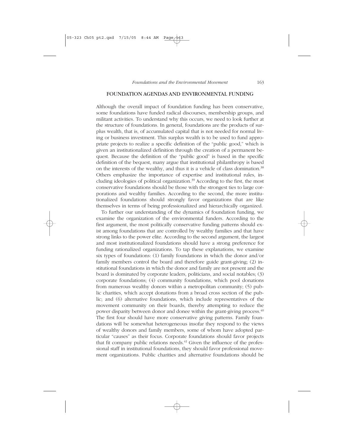#### FOUNDATION AGENDAS AND ENVIRONMENTAL FUNDING

Although the overall impact of foundation funding has been conservative, some foundations have funded radical discourses, membership groups, and militant activities. To understand why this occurs, we need to look further at the structure of foundations. In general, foundations are the products of surplus wealth, that is, of accumulated capital that is not needed for normal living or business investment. This surplus wealth is to be used to fund appropriate projects to realize a specific definition of the "public good," which is given an institutionalized definition through the creation of a permanent bequest. Because the definition of the "public good" is based in the specific definition of the bequest, many argue that institutional philanthropy is based on the interests of the wealthy, and thus it is a vehicle of class domination.<sup>38</sup> Others emphasize the importance of expertise and institutional rules, including ideologies of political organization.39 According to the first, the most conservative foundations should be those with the strongest ties to large corporations and wealthy families. According to the second, the more institutionalized foundations should strongly favor organizations that are like themselves in terms of being professionalized and hierarchically organized.

To further our understanding of the dynamics of foundation funding, we examine the organization of the environmental funders. According to the first argument, the most politically conservative funding patterns should exist among foundations that are controlled by wealthy families and that have strong links to the power elite. According to the second argument, the largest and most institutionalized foundations should have a strong preference for funding rationalized organizations. To tap these explanations, we examine six types of foundations: (1) family foundations in which the donor and/or family members control the board and therefore guide grant-giving; (2) institutional foundations in which the donor and family are not present and the board is dominated by corporate leaders, politicians, and social notables; (3) corporate foundations; (4) community foundations, which pool donations from numerous wealthy donors within a metropolitan community; (5) public charities, which accept donations from a broad cross section of the public; and (6) alternative foundations, which include representatives of the movement community on their boards, thereby attempting to reduce the power disparity between donor and donee within the grant-giving process.<sup>40</sup> The first four should have more conservative giving patterns. Family foundations will be somewhat heterogeneous insofar they respond to the views of wealthy donors and family members, some of whom have adopted particular "causes" as their focus. Corporate foundations should favor projects that fit company public relations needs.<sup>41</sup> Given the influence of the professional staff in institutional foundations, they should favor professional movement organizations. Public charities and alternative foundations should be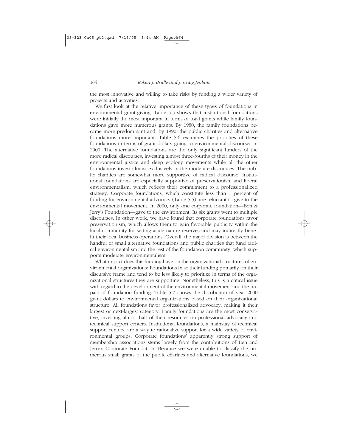the most innovative and willing to take risks by funding a wider variety of projects and activities.

We first look at the relative importance of these types of foundations in environmental grant-giving. Table 5.5 shows that institutional foundations were initially the most important in terms of total grants while family foundations gave more numerous grants. By 1980, the family foundations became more predominant and, by 1990, the public charities and alternative foundations more important. Table 5.6 examines the priorities of these foundations in terms of grant dollars going to environmental discourses in 2000. The alternative foundations are the only significant funders of the more radical discourses, investing almost three-fourths of their money in the environmental justice and deep ecology movements while all the other foundations invest almost exclusively in the moderate discourses. The public charities are somewhat more supportive of radical discourse. Institutional foundations are especially supportive of preservationism and liberal environmentalism, which reflects their commitment to a professionalized strategy. Corporate foundations, which constitute less than 1 percent of funding for environmental advocacy (Table 5.5), are reluctant to give to the environmental movement. In 2000, only one corporate foundation—Ben & Jerry's Foundation—gave to the environment. Its six grants went to multiple discourses. In other work, we have found that corporate foundations favor preservationism, which allows them to gain favorable publicity within the local community for setting aside nature reserves and may indirectly benefit their local business operations. Overall, the major division is between the handful of small alternative foundations and public charities that fund radical environmentalism and the rest of the foundation community, which supports moderate environmentalism.

What impact does this funding have on the organizational structures of environmental organizations? Foundations base their funding primarily on their discursive frame and tend to be less likely to prioritize in terms of the organizational structures they are supporting. Nonetheless, this is a critical issue with regard to the development of the environmental movement and the impact of foundation funding. Table 5.7 shows the distribution of year 2000 grant dollars to environmental organizations based on their organizational structure. All foundations favor professionalized advocacy, making it their largest or next-largest category. Family foundations are the most conservative, investing almost half of their resources on professional advocacy and technical support centers. Institutional foundations, a mainstay of technical support centers, are a way to rationalize support for a wide variety of environmental groups. Corporate foundations' apparently strong support of membership associations stems largely from the contributions of Ben and Jerry's Corporate Foundation. Because we were unable to classify the numerous small grants of the public charities and alternative foundations, we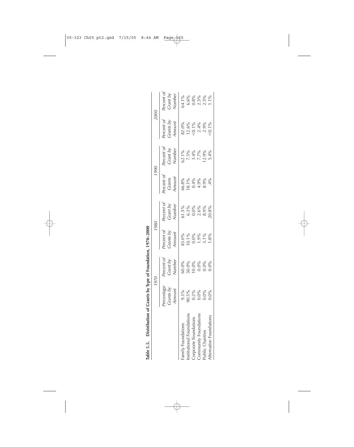| Table 5.5. Distribution of Grants by Type of Foundation, 1970-2000 |                                                     |                                                                             |                                                                          |                                                                                    |                                                                      |                                                                          |                                            |                                                                           |
|--------------------------------------------------------------------|-----------------------------------------------------|-----------------------------------------------------------------------------|--------------------------------------------------------------------------|------------------------------------------------------------------------------------|----------------------------------------------------------------------|--------------------------------------------------------------------------|--------------------------------------------|---------------------------------------------------------------------------|
|                                                                    |                                                     | 1970                                                                        | 1980                                                                     |                                                                                    |                                                                      |                                                                          | 000                                        |                                                                           |
|                                                                    | ercentage<br>Grants by<br>Amount                    | Percent of<br>Grant by<br>Number                                            | Percent of<br>Grants by<br>Amount                                        | Percent of<br>Grant by<br>Number                                                   | ercent of<br>Amount<br>Grants                                        | Percent oi<br>Grant by<br>Number                                         | Percent of<br>Grants by<br>Amount          | Percent of<br>Grant by<br>Number                                          |
| -amily Foundations                                                 |                                                     |                                                                             |                                                                          |                                                                                    |                                                                      |                                                                          |                                            |                                                                           |
| Institutional Foundations                                          | $9.3\%$<br>$9.5\%$<br>$0.0\%$<br>$0.0\%$<br>$0.0\%$ | $\begin{array}{l} 50.0\% \\ 30.0\% \\ 10.0\% \\ 0.0\% \\ 0.0\% \end{array}$ | $33.0%$<br>$10.1%$<br>$10.0%$<br>$10.0%$<br>$10.0%$<br>$10.0%$<br>$1.8%$ | $\begin{array}{l} 51.5\% \\ 6.3\% \\ 0.0\% \\ 2.6\% \\ 8.9\% \\ 0.8\% \end{array}$ | $66.8%$<br>$18.1%$<br>$0.4%$<br>$4.9%$<br>$8.9%$<br>$4.4%$<br>$8.9%$ | $62.1\%$<br>$7.5\%$<br>$7.4\%$<br>$7.7\%$<br>$7.7\%$<br>$12.9\%$<br>5.4% | $82.0%\n72.6%\n82.4%\n73.9%\n74.9%\n75.0%$ | $\begin{array}{l} 34.1\% \\ 6.6\% \\ 0.8\% \\ 2.5\% \\ 1.1\% \end{array}$ |
|                                                                    |                                                     |                                                                             |                                                                          |                                                                                    |                                                                      |                                                                          |                                            |                                                                           |
| tions<br>Corporate Foundations<br>Community Foundation             |                                                     |                                                                             |                                                                          |                                                                                    |                                                                      |                                                                          |                                            |                                                                           |
| Public Charities                                                   |                                                     |                                                                             |                                                                          |                                                                                    |                                                                      |                                                                          |                                            |                                                                           |
| Alternative Foundations                                            |                                                     |                                                                             |                                                                          |                                                                                    |                                                                      |                                                                          |                                            |                                                                           |

| $1070 - 200$                     |
|----------------------------------|
|                                  |
| by Type                          |
|                                  |
|                                  |
| ;<br>מריש ו                      |
|                                  |
|                                  |
| $\frac{1}{2}$<br>י<br>י<br>Table |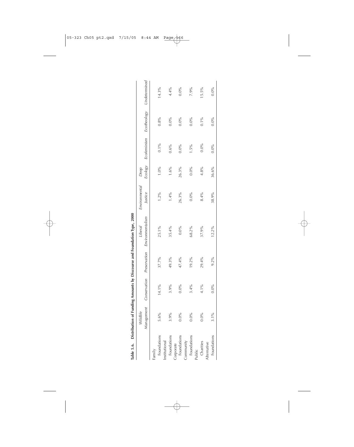|                          | Wildlife |                                      |         | Liberal          | Environmental | Deep    |             |         |                          |
|--------------------------|----------|--------------------------------------|---------|------------------|---------------|---------|-------------|---------|--------------------------|
|                          |          | Management Conservation Preservation |         | Environmentalism | Justice       | Ecology | Ecofeminism |         | Ecotheology Undetermined |
| Family                   |          |                                      |         |                  |               |         |             |         |                          |
| Foundations              | 5.6%     | 14.1%                                | 37.7%   | 25.1%            | $1.2\%$       | 1.0%    | $0.1\%$     | 0.8%    | 14.3%                    |
| Institutional            |          |                                      |         |                  |               |         |             |         |                          |
| Foundations              | 3.9%     | 3.9%                                 | 49.3%   | 35.4%            | 1.4%          | 1.6%    | 0.6%        | 0.0%    | 4.4%                     |
|                          |          |                                      |         |                  |               |         |             |         |                          |
| Corporate<br>Foundations | $0.0\%$  | $0.0\%$                              | 47.4%   | 0.0%             | 26.3%         | 26.3%   | $0.0\%$     | $0.0\%$ | $0.0\%$                  |
| Community                |          |                                      |         |                  |               |         |             |         |                          |
| Foundations              | $0.0\%$  | 3.4%                                 | 19.2%   | 68.2%            | $0.0\%$       | $0.0\%$ | 1.5%        | 0.0%    | 7.9%                     |
| Public                   |          |                                      |         |                  |               |         |             |         |                          |
| Charities                | 0.0%     | 4.1%                                 | 29.4%   | 37.9%            | 8.4%          | 4.8%    | $0.0\%$     | $0.1\%$ | 15.5%                    |
| Alternative              |          |                                      |         |                  |               |         |             |         |                          |
| Foundations              | $1\%$    | $0.0\%$                              | $9.2\%$ | 12.2%            | 38.9%         | 36.6%   | 0.0%        | 0.0%    | 0.0%                     |

 $\overline{\phantom{a}}$ 

| I                              |   |
|--------------------------------|---|
|                                |   |
| ı                              | ١ |
| ŧ<br>ï<br>١                    |   |
| $\ddot{\phantom{a}}$<br>l<br>į |   |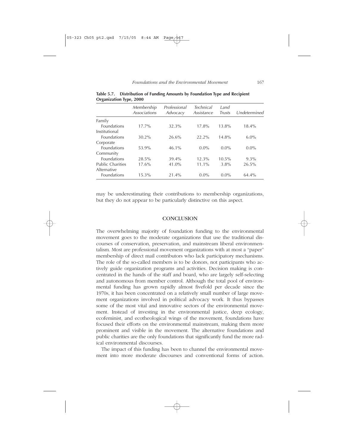| Organization type, 2000 |                                   |                          |                                |                       |              |
|-------------------------|-----------------------------------|--------------------------|--------------------------------|-----------------------|--------------|
|                         | Membership<br><b>Associations</b> | Professional<br>Advocacy | <b>Technical</b><br>Assistance | Land<br><b>Trusts</b> | Undetermined |
| Family                  |                                   |                          |                                |                       |              |
| <b>Foundations</b>      | $17.7\%$                          | 32.3%                    | 17.8%                          | 13.8%                 | 18.4%        |
| Institutional           |                                   |                          |                                |                       |              |
| <b>Foundations</b>      | $30.2\%$                          | 26.6%                    | $22.2\%$                       | 14.8%                 | $6.0\%$      |
| Corporate               |                                   |                          |                                |                       |              |
| <b>Foundations</b>      | 53.9%                             | $46.1\%$                 | $0.0\%$                        | $0.0\%$               | $0.0\%$      |
| Community               |                                   |                          |                                |                       |              |
| <b>Foundations</b>      | 28.5%                             | 39.4%                    | $12.3\%$                       | $10.5\%$              | $9.3\%$      |
| <b>Public Charities</b> | 17.6%                             | $41.0\%$                 | $11.1\%$                       | 3.8%                  | 26.5%        |
| Alternative             |                                   |                          |                                |                       |              |
| <b>Foundations</b>      | 15.3%                             | 21.4%                    | $0.0\%$                        | $0.0\%$               | 64.4%        |

**Table 5.7. Distribution of Funding Amounts by Foundation Type and Recipient Organization Type, 2000**

may be underestimating their contributions to membership organizations, but they do not appear to be particularly distinctive on this aspect.

#### **CONCLUSION**

The overwhelming majority of foundation funding to the environmental movement goes to the moderate organizations that use the traditional discourses of conservation, preservation, and mainstream liberal environmentalism. Most are professional movement organizations with at most a "paper" membership of direct mail contributors who lack participatory mechanisms. The role of the so-called members is to be donors, not participants who actively guide organization programs and activities. Decision making is concentrated in the hands of the staff and board, who are largely self-selecting and autonomous from member control. Although the total pool of environmental funding has grown rapidly almost fivefold per decade since the 1970s, it has been concentrated on a relatively small number of large movement organizations involved in political advocacy work. It thus bypasses some of the most vital and innovative sectors of the environmental movement. Instead of investing in the environmental justice, deep ecology, ecofeminist, and ecotheological wings of the movement, foundations have focused their efforts on the environmental mainstream, making them more prominent and visible in the movement. The alternative foundations and public charities are the only foundations that significantly fund the more radical environmental discourses.

The impact of this funding has been to channel the environmental movement into more moderate discourses and conventional forms of action.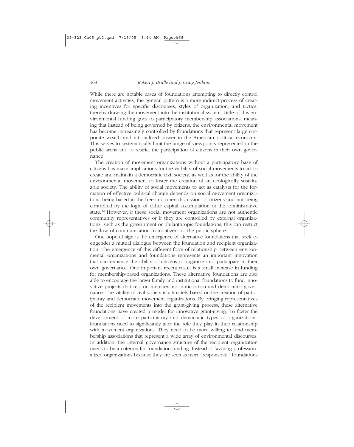While there are notable cases of foundations attempting to directly control movement activities, the general pattern is a more indirect process of creating incentives for specific discourses, styles of organization, and tactics, thereby drawing the movement into the institutional system. Little of this environmental funding goes to participatory membership associations, meaning that instead of being governed by citizens, the environmental movement has become increasingly controlled by foundations that represent large corporate wealth and rationalized power in the American political economy. This serves to systematically limit the range of viewpoints represented in the public arena and to restrict the participation of citizens in their own governance.

The creation of movement organizations without a participatory base of citizens has major implications for the viability of social movements to act to create and maintain a democratic civil society, as well as for the ability of the environmental movement to foster the creation of an ecologically sustainable society. The ability of social movements to act as catalysts for the formation of effective political change depends on social movement organizations being based in the free and open discussion of citizens and not being controlled by the logic of either capital accumulation or the administrative state.<sup>42</sup> However, if these social movement organizations are not authentic community representatives or if they are controlled by external organizations, such as the government or philanthropic foundations, this can restrict the flow of communication from citizens to the public sphere.

One hopeful sign is the emergence of alternative foundations that seek to engender a mutual dialogue between the foundation and recipient organization. The emergence of this different form of relationship between environmental organizations and foundations represents an important innovation that can enhance the ability of citizens to organize and participate in their own governance. One important recent result is a small increase in funding for membership-based organizations. These alternative foundations are also able to encourage the larger family and institutional foundations to fund innovative projects that rest on membership participation and democratic governance. The vitality of civil society is ultimately based on the creation of participatory and democratic movement organizations. By bringing representatives of the recipient movements into the grant-giving process, these alternative foundations have created a model for innovative grant-giving. To foster the development of more participatory and democratic types of organizations, foundations need to significantly alter the role they play in their relationship with movement organizations. They need to be more willing to fund membership associations that represent a wide array of environmental discourses. In addition, the internal governance structure of the recipient organization needs to be a criterion for foundation funding. Instead of favoring professionalized organizations because they are seen as more "responsible," foundations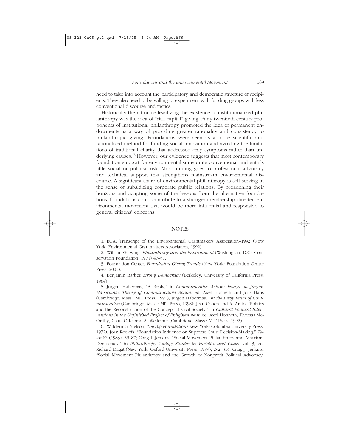05-323 Ch05 pt2.qxd 7/15/05 8:44 AM

#### *Foundations and the Environmental Movement* 169

need to take into account the participatory and democratic structure of recipients. They also need to be willing to experiment with funding groups with less conventional discourse and tactics.

Historically the rationale legalizing the existence of institutionalized philanthropy was the idea of "risk capital" giving. Early twentieth century proponents of institutional philanthropy promoted the idea of permanent endowments as a way of providing greater rationality and consistency to philanthropic giving. Foundations were seen as a more scientific and rationalized method for funding social innovation and avoiding the limitations of traditional charity that addressed only symptoms rather than underlying causes.43 However, our evidence suggests that most contemporary foundation support for environmentalism is quite conventional and entails little social or political risk. Most funding goes to professional advocacy and technical support that strengthens mainstream environmental discourse. A significant share of environmental philanthropy is self-serving in the sense of subsidizing corporate public relations. By broadening their horizons and adapting some of the lessons from the alternative foundations, foundations could contribute to a stronger membership-directed environmental movement that would be more influential and responsive to general citizens' concerns.

#### **NOTES**

1. EGA, Transcript of the Environmental Grantmakers Association–1992 (New York: Environmental Grantmakers Association, 1992).

2. William G. Wing, *Philanthropy and the Environment* (Washington, D.C.: Conservation Foundation, 1973) 47–51.

3. Foundation Center, *Foundation Giving Trends* (New York: Foundation Center Press, 2001).

4. Benjamin Barber, *Strong Democracy* (Berkeley: University of California Press, 1984).

5. Jürgen Habermas, "A Reply," in *Communicative Action: Essays on Jürgen Habermas's Theory of Communicative Action,* ed. Axel Honneth and Joas Hans (Cambridge, Mass.: MIT Press, 1991); Jürgen Habermas, *On the Pragmatics of Communication* (Cambridge, Mass.: MIT Press, 1998); Jean Cohen and A. Arato, "Politics and the Reconstruction of the Concept of Civil Society," in *Cultural-Political Interventions in the Unfinished Project of Enlightenment,* ed. Axel Honneth, Thomas Mc-Carthy, Claus Offe, and A. Wellemer (Cambridge, Mass.: MIT Press, 1992).

6. Waldermar Nielson, *The Big Foundation* (New York: Columbia University Press, 1972); Joan Roelofs, "Foundation Influence on Supreme Court Decision-Making," *Telos* 62 (1983): 59–87; Craig J. Jenkins, "Social Movement Philanthropy and American Democracy," in *Philanthropy Giving: Studies in Varieties and Goals,* vol. 3*,* ed. Richard Magat (New York: Oxford University Press, 1989), 292–314; Craig J. Jenkins, "Social Movement Philanthropy and the Growth of Nonprofit Political Advocacy: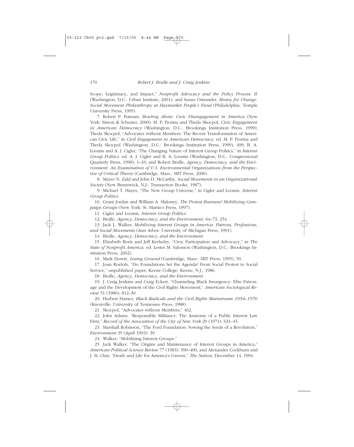Scope, Legitimacy, and Impact," *Nonprofit Advocacy and the Policy Process: II* (Washington, D.C.: Urban Institute, 2001); and Susan Ostrander, *Money for Change: Social Movement Philanthropy at Haymarket People's Fund* (Philadelphia: Temple University Press, 1995).

7. Robert P. Putnam, *Bowling Alone: Civic Disengagement in America* (New York: Simon & Schuster, 2000); M. P. Fiorina and Theda Skocpol, *Civic Engagement in American Democracy* (Washington, D.C.: Brookings Institution Press, 1999); Theda Skocpol, "Advocates without Members: The Recent Transformation of American Civic Life," in *Civil Engagement in American Democracy,* ed. M. P. Fiorina and Theda Skocpol (Washington, D.C.: Brookings Institution Press, 1999), 499; B. A. Loomis and A. J. Cigler, "The Changing Nature of Interest Group Politics," in *Interest Group Politics,* ed. A. J. Cigler and B. A. Loomis (Washington, D.C.: Congressional Quarterly Press, 1998), 1–33; and Robert Brulle, *Agency, Democracy, and the Environment: An Examination of U.S. Environmental Organizations from the Perspective of Critical Theory* (Cambridge, Mass.: MIT Press, 2000).

8. Mayer N. Zald and John D. McCarthy, *Social Movements in an Organizational Society* (New Brunswick, N.J.: Transaction Books, 1987).

9. Michael T. Hayes, "The New Group Universe," in Cigler and Loomis, *Interest Group Politics.*

10. Grant Jordan and William A. Maloney, *The Protest Business? Mobilizing Campaign Groups* (New York: St. Martin's Press, 1997).

11. Cigler and Loomis, *Interest Group Politics*.

12. Brulle, *Agency, Democracy, and the Environment*, 64–73, 254.

13. Jack L. Walker, *Mobilizing Interest Groups in America: Patrons, Professions, and Social Movements* (Ann Arbor: University of Michigan Press, 1991).

14. Brulle, *Agency, Democracy, and the Environment.*

15. Elizabeth Boris and Jeff Kreheley, "Civic Participation and Advocacy," in *The State of Nonprofit America,* ed. Lester M. Salomon (Washington, D.C.: Brookings Institution Press, 2002).

16. Mark Dowie, *Losing Ground* (Cambridge, Mass.: MIT Press, 1995), 50.

17. Joan Roelofs, "Do Foundations Set the Agenda? From Social Protest to Social Service," unpublished paper, Keene College, Keene, N.J., 1986.

18. Brulle, *Agency, Democracy, and the Environment*.

19. J. Craig Jenkins and Craig Eckert, "Channeling Black Insurgency: Elite Patronage and the Development of the Civil Rights Movement," *American Sociological Review* 51 (1986): 812–30.

20. Herbert Haines, *Black Radicals and the Civil Rights Mainstream 1954–1970* (Knoxville: University of Tennessee Press, 1988).

21. Skocpol, "Advocates without Members," 462.

22. John Adams, "Responsible Militancy: The Anatomy of a Public Interest Law Firm," *Record of the Association of the City of New York* 29 (1971): 631–45.

23. Marshall Robinson, "The Ford Foundation: Sowing the Seeds of a Revolution," *Environment* 35 (April 1993): 39.

24. Walker, "Mobilizing Interest Groups."

25. Jack Walker, "The Origins and Maintenance of Interest Groups in America," *American Political Science Review* 77 (1983): 390–406; and Alexander Cockburn and J. St. Clair, "Death and Life for America's Greens," *The Nation*, December 14, 1994.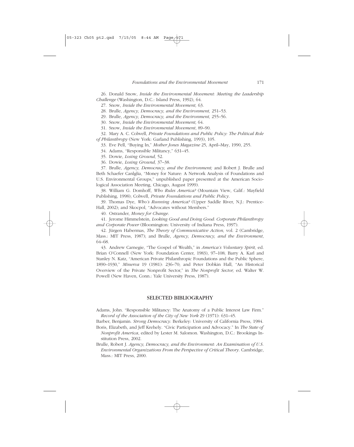26. Donald Snow, *Inside the Environmental Movement: Meeting the Leadership Challenge* (Washington, D.C.: Island Press, 1992), 64.

27. Snow, *Inside the Environmental Movement,* 63.

28. Brulle, *Agency, Democracy, and the Environment,* 251–53.

29. Brulle, *Agency, Democracy, and the Environment,* 255–56.

30. Snow, *Inside the Environmental Movement,* 64.

31. Snow, *Inside the Environmental Movement*, 89–90.

32. Mary A. C. Colwell, *Private Foundations and Public Policy: The Political Role of Philanthropy* (New York: Garland Publishing, 1993), 105.

33. Eve Pell, "Buying In," *Mother Jones Magazine* 25, April–May, 1990, 255.

34. Adams, "Responsible Militancy," 631–45.

35. Dowie, *Losing Ground,* 52.

36. Dowie, *Losing Ground,* 37–38.

37. Brulle, *Agency, Democracy, and the Environment;* and Robert J. Brulle and Beth Schaefer Canlglia, "Money for Nature: A Network Analysis of Foundations and U.S. Environmental Groups," unpublished paper presented at the American Sociological Association Meeting, Chicago, August 1999).

38. William G. Domhoff, *Who Rules America?* (Mountain View, Calif.: Mayfield Publishing, 1998); Colwell, *Private Foundations and Public Policy*.

39. Thomas Dye, *Who's Running America?* (Upper Saddle River, N.J.: Prentice-Hall, 2002); and Skocpol, "Advocates without Members."

40. Ostrander, *Money for Change*.

41. Jerome Himmelstein, *Looking Good and Doing Good: Corporate Philanthropy and Corporate Power* (Bloomington: University of Indiana Press, 1997).

42. Jürgen Habermas, *The Theory of Communicative Action,* vol. 2 (Cambridge, Mass.: MIT Press, 1987); and Brulle, *Agency, Democracy, and the Environment*, 64–68.

43. Andrew Carnegie, "The Gospel of Wealth," in *America's Voluntary Spirit,* ed. Brian O'Connell (New York: Foundation Center, 1983), 97–108; Barry A. Karl and Stanley N. Katz, "American Private Philanthropic Foundations and the Public Sphere, 1890–1930," *Minerva* 19 (1981): 236–70; and Peter Dobkin Hall, "An Historical Overview of the Private Nonprofit Sector," in *The Nonprofit Sector,* ed. Walter W. Powell (New Haven, Conn.: Yale University Press, 1987).

#### SELECTED BIBLIOGRAPHY

Adams, John. "Responsible Militancy: The Anatomy of a Public Interest Law Firm." *Record of the Association of the City of New York* 29 (1971): 631–45.

Barber, Benjamin. *Strong Democracy.* Berkeley: University of California Press, 1984. Boris, Elizabeth, and Jeff Krehely. "Civic Participation and Advocacy." In *The State of*

*Nonprofit America*, edited by Lester M. Salomon. Washington, D.C.: Brookings Institution Press, 2002.

Brulle, Robert J. *Agency, Democracy, and the Environment: An Examination of U.S. Environmental Organizations From the Perspective of Critical Theory*. Cambridge, Mass.: MIT Press, 2000.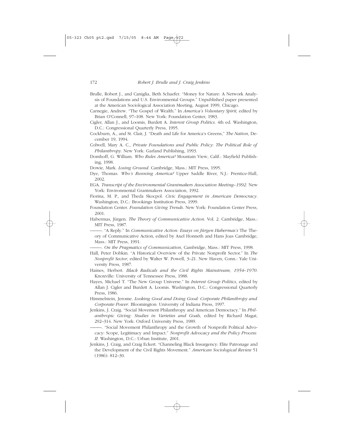- Brulle, Robert J., and Caniglia, Beth Schaefer. "Money for Nature: A Network Analysis of Foundations and U.S. Environmental Groups." Unpublished paper presented at the American Sociological Association Meeting, August 1999, Chicago.
- Carnegie, Andrew. "The Gospel of Wealth." In *America's Voluntary Spirit,* edited by Brian O'Connell, 97–108. New York: Foundation Center, 1983.
- Cigler, Allan J., and Loomis, Burdett A. *Interest Group Politics.* 4th ed. Washington, D.C.: Congressional Quarterly Press, 1995.
- Cockburn, A., and St. Clair, J. "Death and Life for America's Greens," *The Nation*, December 19, 1994.
- Colwell, Mary A. C., *Private Foundations and Public Policy: The Political Role of Philanthropy.* New York: Garland Publishing, 1993.
- Domhoff, G. William. *Who Rules America?* Mountain View, Calif.: Mayfield Publishing, 1998.
- Dowie, Mark. *Losing Ground.* Cambridge, Mass.: MIT Press, 1995.
- Dye, Thomas. *Who's Running America?* Upper Saddle River, N.J.: Prentice-Hall, 2002.
- EGA. *Transcript of the Environmental Grantmakers Association Meeting–1992*. New York: Environmental Grantmakers Association, 1992.
- Fiorina, M. P., and Theda Skocpol. *Civic Engagement in American Democracy*. Washington, D.C.: Brookings Institution Press, 1999.
- Foundation Center. *Foundation Giving Trends*. New York: Foundation Center Press, 2001.
- Habermas, Jürgen. *The Theory of Communicative Action.* Vol. 2. Cambridge, Mass.: MIT Press, 1987.
- ———. "A Reply." In *Communicative Action: Essays on Jürgen Habermas's* The Theory of Communicative Action, edited by Axel Honneth and Hans Joas Cambridge, Mass.: MIT Press, 1991.
- ———. *On the Pragmatics of Communication*, Cambridge, Mass.: MIT Press, 1998.
- Hall, Peter Dobkin. "A Historical Overview of the Private Nonprofit Sector." In *The Nonprofit Sector*, edited by Walter W. Powell, 3–21. New Haven, Conn.: Yale University Press, 1987.
- Haines, Herbert. *Black Radicals and the Civil Rights Mainstream, 1954–1970*. Knoxville: University of Tennessee Press, 1988.
- Hayes, Michael T. "The New Group Universe." In *Interest Group Politics*, edited by Allan J. Cigler and Burdett A. Loomis. Washington, D.C.: Congressional Quarterly Press, 1986.
- Himmelstein, Jerome. *Looking Good and Doing Good: Corporate Philanthropy and Corporate Power*. Bloomington: University of Indiana Press, 1997.
- Jenkins, J. Craig. "Social Movement Philanthropy and American Democracy." In *Philanthropic Giving: Studies in Varieties and Goals,* edited by Richard Magat, 292–314. New York: Oxford University Press, 1989.
	- ———. "Social Movement Philanthropy and the Growth of Nonprofit Political Advocacy: Scope, Legitimacy and Impact." *Nonprofit Advocacy and the Policy Process: II.* Washington, D.C.: Urban Institute, 2001.
- Jenkins, J. Craig, and Craig Eckert. "Channeling Black Insurgency: Elite Patronage and the Development of the Civil Rights Movement." *American Sociological Review* 51 (1986): 812–30.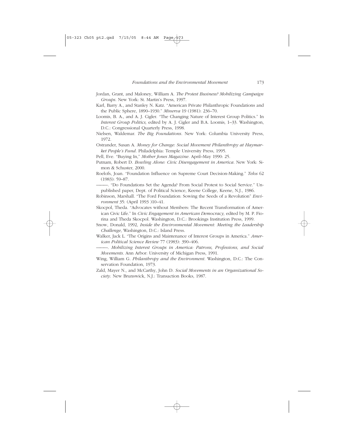- Jordan, Grant, and Maloney, William A. *The Protest Business? Mobilizing Campaign Groups*. New York: St. Martin's Press, 1997.
- Karl, Barry A., and Stanley N. Katz. "American Private Philanthropic Foundations and the Public Sphere, 1890–1930." *Minerva* 19 (1981): 236–70.
- Loomis, B. A., and A. J. Cigler. "The Changing Nature of Interest Group Politics." In *Interest Group Politics,* edited by A. J. Cigler and B.A. Loomis*,* 1–33. Washington, D.C.: Congressional Quarterly Press, 1998.
- Nielsen, Waldemar. *The Big Foundations*. New York: Columbia University Press, 1972.
- Ostrander, Susan A. *Money for Change: Social Movement Philanthropy at Haymarket People's Fund*. Philadelphia: Temple University Press, 1995.
- Pell, Eve. "Buying In," *Mother Jones Magazine.* April–May 1990: 25.
- Putnam, Robert D. *Bowling Alone: Civic Disengagement in America*. New York: Simon & Schuster, 2000.
- Roelofs, Joan. "Foundation Influence on Supreme Court Decision-Making." *Telos* 62 (1983): 59–87.

———. "Do Foundations Set the Agenda? From Social Protest to Social Service." Unpublished paper, Dept. of Political Science, Keene College, Keene, N.J., 1986.

- Robinson, Marshall. "The Ford Foundation: Sowing the Seeds of a Revolution" *Environment* 35: (April 1993 )10–41.
- Skocpol, Theda. "Advocates without Members: The Recent Transformation of American Civic Life." In *Civic Engagement in American Democracy,* edited by M. P. Fiorina and Theda Skocpol. Washington, D.C.: Brookings Institution Press, 1999.
- Snow, Donald, 1992, *Inside the Environmental Movement: Meeting the Leadership Challenge*, Washington, D.C.: Island Press.
- Walker, Jack L. "The Origins and Maintenance of Interest Groups in America." *American Political Science Review* 77 (1983): 390–406.
- ———. *Mobilizing Interest Groups in America: Patrons, Professions, and Social Movements.* Ann Arbor: University of Michigan Press, 1991.
- Wing, William G. *Philanthropy and the Environment.* Washington, D.C.: The Conservation Foundation, 1973.
- Zald, Mayer N., and McCarthy, John D. *Social Movements in an Organizational Society*. New Brunswick, N.J.: Transaction Books, 1987.